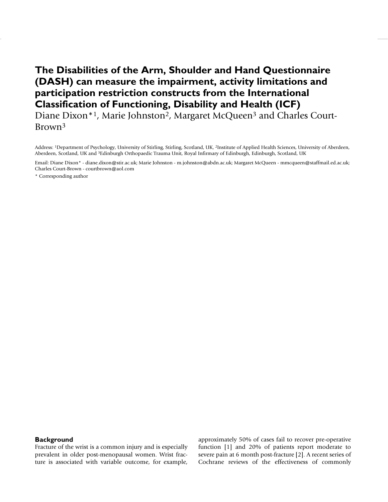# **The Disabilities of the Arm, Shoulder and Hand Questionnaire (DASH) can measure the impairment, activity limitations and participation restriction constructs from the International Classification of Functioning, Disability and Health (ICF)**

Diane Dixon<sup>\*1</sup>, Marie Johnston<sup>2</sup>, Margaret McQueen<sup>3</sup> and Charles Court-Brown<sup>3</sup>

Address: <sup>1</sup>Department of Psychology, University of Stirling, Stirling, Scotland, UK, <sup>2</sup>Institute of Applied Health Sciences, University of Aberdeen, Aberdeen, Scotland, UK and <sup>3</sup>Edinburgh Orthopaedic Trauma Unit, Royal Infirmary of Edinburgh, Edinburgh, Scotland, UK

Email: Diane Dixon\* - diane.dixon@stir.ac.uk; Marie Johnston - m.johnston@abdn.ac.uk; Margaret McQueen - mmcqueen@staffmail.ed.ac.uk; Charles Court-Brown - courtbrown@aol.com

\* Corresponding author

## **Background**

Fracture of the wrist is a common injury and is especially prevalent in older post-menopausal women. Wrist fracture is associated with variable outcome, for example, approximately 50% of cases fail to recover pre-operative function [1] and 20% of patients report moderate to severe pain at 6 month post-fracture [2]. A recent series of Cochrane reviews of the effectiveness of commonly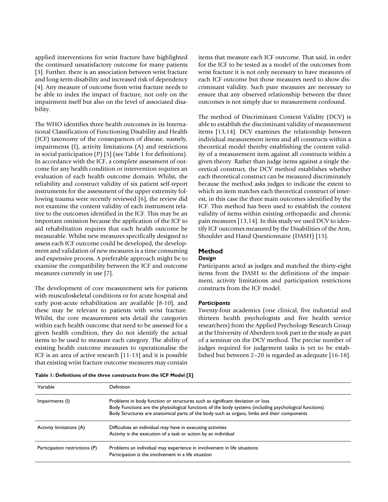applied interventions for wrist fracture have highlighted the continued unsatisfactory outcome for many patients [3]. Further, there is an association between wrist fracture and long-term disability and increased risk of dependency [4]. Any measure of outcome from wrist fracture needs to be able to index the impact of fracture, not only on the impairment itself but also on the level of associated disability.

The WHO identifies three health outcomes in its International Classification of Functioning Disability and Health (ICF) taxonomy of the consequences of disease, namely, impairments (I), activity limitations (A) and restrictions in social participation (P) [5] (see Table 1 for definitions). In accordance with the ICF, a complete assessment of outcome for any health condition or intervention requires an evaluation of each health outcome domain. Whilst, the reliability and construct validity of six patient self-report instruments for the assessment of the upper extremity following trauma were recently reviewed [6], the review did not examine the content validity of each instrument relative to the outcomes identified in the ICF. This may be an important omission because the application of the ICF to aid rehabilitation requires that each health outcome be measurable. Whilst new measures specifically designed to assess each ICF outcome could be developed, the development and validation of new measures is a time consuming and expensive process. A preferable approach might be to examine the compatibility between the ICF and outcome measures currently in use [7].

The development of core measurement sets for patients with musculoskeletal conditions or for acute hospital and early post-acute rehabilitation are available [8-10], and these may be relevant to patients with wrist fracture. Whilst, the core measurement sets detail the categories within each health outcome that need to be assessed for a given health condition, they do not identify the actual items to be used to measure each category. The ability of existing health outcome measures to operationalise the ICF is an area of active research [11-13] and it is possible that existing wrist fracture outcome measures may contain items that measure each ICF outcome. That said, in order for the ICF to be tested as a model of the outcomes from wrist fracture it is not only necessary to have measures of each ICF outcome but those measures need to show discriminant validity. Such pure measures are necessary to ensure that any observed relationship between the three outcomes is not simply due to measurement confound.

The method of Discriminant Content Validity (DCV) is able to establish the discriminant validity of measurement items [13,14]. DCV examines the relationship between individual measurement items and all constructs within a theoretical model thereby establishing the content validity of a measurement item against all constructs within a given theory. Rather than judge items against a single theoretical construct, the DCV method establishes whether each theoretical construct can be measured discriminately because the method asks judges to indicate the extent to which an item matches each theoretical construct of interest, in this case the three main outcomes identified by the ICF. This method has been used to establish the content validity of items within existing orthopaedic and chronic pain measures [13,14]. In this study we used DCV to identify ICF outcomes measured by the Disabilities of the Arm, Shoulder and Hand Questionnaire (DASH) [15].

# **Method**

# *Design*

Participants acted as judges and matched the thirty-eight items from the DASH to the definitions of the impairment, activity limitations and participation restrictions constructs from the ICF model.

# *Participants*

Twenty-four academics (one clinical, five industrial and thirteen health psychologists and five health service researchers) from the Applied Psychology Research Group at the University of Aberdeen took part in the study as part of a seminar on the DCV method. The precise number of judges required for judgement tasks is yet to be established but between 2–20 is regarded as adequate [16-18].

|  | Table 1: Definitions of the three constructs from the ICF Model [5] |
|--|---------------------------------------------------------------------|
|--|---------------------------------------------------------------------|

| Variable                       | Definition                                                                                                                                                                                                                                                                             |
|--------------------------------|----------------------------------------------------------------------------------------------------------------------------------------------------------------------------------------------------------------------------------------------------------------------------------------|
| Impairments (I)                | Problems in body function or structures such as significant deviation or loss<br>Body Functions are the physiological functions of the body systems (including psychological functions)<br>Body Structures are anatomical parts of the body such as organs, limbs and their components |
| Activity limitations (A)       | Difficulties an individual may have in executing activities<br>Activity is the execution of a task or action by an individual                                                                                                                                                          |
| Participation restrictions (P) | Problems an individual may experience in involvement in life situations<br>Participation is the involvement in a life situation                                                                                                                                                        |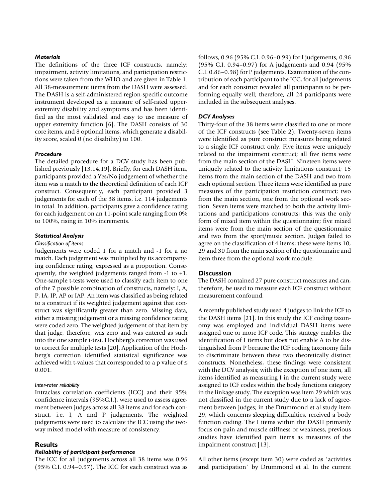## *Materials*

The definitions of the three ICF constructs, namely: impairment, activity limitations, and participation restrictions were taken from the WHO and are given in Table 1. All 38-measurement items from the DASH were assessed. The DASH is a self-administered region-specific outcome instrument developed as a measure of self-rated upperextremity disability and symptoms and has been identified as the most validated and easy to use measure of upper extremity function [6]. The DASH consists of 30 core items, and 8 optional items, which generate a disability score, scaled 0 (no disability) to 100.

## *Procedure*

The detailed procedure for a DCV study has been published previously [13,14,19]. Briefly, for each DASH item, participants provided a Yes/No judgement of whether the item was a match to the theoretical definition of each ICF construct. Consequently, each participant provided 3 judgements for each of the 38 items, i.e. 114 judgements in total. In addition, participants gave a confidence rating for each judgement on an 11-point scale ranging from 0% to 100%, rising in 10% increments.

#### *Statistical Analysis*

## *Classification of items*

Judgements were coded 1 for a match and -1 for a no match. Each judgement was multiplied by its accompanying confidence rating, expressed as a proportion. Consequently, the weighted judgements ranged from -1 to +1. One-sample t-tests were used to classify each item to one of the 7 possible combination of constructs, namely: I, A, P, IA, IP, AP or IAP. An item was classified as being related to a construct if its weighted judgement against that construct was significantly greater than zero. Missing data, either a missing judgement or a missing confidence rating were coded zero. The weighted judgement of that item by that judge, therefore, was zero and was entered as such into the one sample t-test. Hochberg's correction was used to correct for multiple tests [20]. Application of the Hochberg's correction identified statistical significance was achieved with t-values that corresponded to a p value of  $\leq$ 0.001.

#### *Inter-rater reliability*

Intraclass correlation coefficients (ICC) and their 95% confidence intervals (95%C.I.), were used to assess agreement between judges across all 38 items and for each construct, i.e. I, A and P judgements. The weighted judgements were used to calculate the ICC using the twoway mixed model with measure of consistency.

#### **Results**

#### *Reliability of participant performance*

The ICC for all judgements across all 38 items was 0.96 (95% C.I. 0.94–0.97). The ICC for each construct was as follows, 0.96 (95% C.I. 0.96–0.99) for I judgements, 0.96 (95% C.I. 0.94–0.97) for A judgements and 0.94 (95% C.I. 0.86–0.98) for P judgements. Examination of the contribution of each participant to the ICC, for all judgements and for each construct revealed all participants to be performing equally well; therefore, all 24 participants were included in the subsequent analyses.

#### *DCV Analyses*

Thirty-four of the 38 items were classified to one or more of the ICF constructs (see Table 2). Twenty-seven items were identified as pure construct measures being related to a single ICF construct only. Five items were uniquely related to the impairment construct; all five items were from the main section of the DASH. Nineteen items were uniquely related to the activity limitations construct; 15 items from the main section of the DASH and two from each optional section. Three items were identified as pure measures of the participation restriction construct; two from the main section, one from the optional work section. Seven items were matched to both the activity limitations and participations constructs; this was the only form of mixed item within the questionnaire; five mixed items were from the main section of the questionnaire and two from the sport/music section. Judges failed to agree on the classification of 4 items; these were items 10, 29 and 30 from the main section of the questionnaire and item three from the optional work module.

#### **Discussion**

The DASH contained 27 pure construct measures and can, therefore, be used to measure each ICF construct without measurement confound.

A recently published study used 4 judges to link the ICF to the DASH items [21]. In this study the ICF coding taxonomy was employed and individual DASH items were assigned one or more ICF code. This strategy enables the identification of I items but does not enable A to be distinguished from P because the ICF coding taxonomy fails to discriminate between these two theoretically distinct constructs. Nonetheless, these findings were consistent with the DCV analysis; with the exception of one item, all items identified as measuring I in the current study were assigned to ICF codes within the body functions category in the linkage study. The exception was item 29 which was not classified in the current study due to a lack of agreement between judges; in the Drummond et al study item 29, which concerns sleeping difficulties, received a body function coding. The I items within the DASH primarily focus on pain and muscle stiffness or weakness, previous studies have identified pain items as measures of the impairment construct [13].

All other items (except item 30) were coded as "activities **and** participation" by Drummond et al. In the current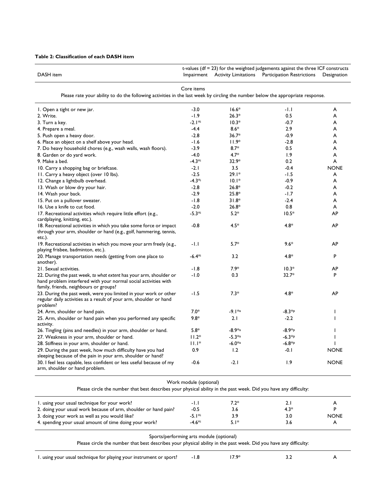# **Table 2: Classification of each DASH item**

| DASH item                                                                                                                                                                       | Impairment             |           | t-values ( $df = 23$ ) for the weighted judgements against the three ICF constructs<br>Activity Limitations Participation Restrictions | Designation |  |  |
|---------------------------------------------------------------------------------------------------------------------------------------------------------------------------------|------------------------|-----------|----------------------------------------------------------------------------------------------------------------------------------------|-------------|--|--|
| Core items<br>Please rate your ability to do the following activities in the last week by circling the number below the appropriate response.                                   |                        |           |                                                                                                                                        |             |  |  |
| I. Open a tight or new jar.                                                                                                                                                     | $-3.0$                 | $16.6*$   | -1.1                                                                                                                                   | A           |  |  |
| 2. Write.                                                                                                                                                                       | $-1.9$                 | $26.3*$   | 0.5                                                                                                                                    | A           |  |  |
| 3. Turn a key.                                                                                                                                                                  | $-2.1**$               | $10.3*$   | $-0.7$                                                                                                                                 | A           |  |  |
| 4. Prepare a meal.                                                                                                                                                              | $-4.4$                 | $8.6*$    | 2.9                                                                                                                                    | A           |  |  |
| 5. Push open a heavy door.                                                                                                                                                      | $-2.8$                 | $36.7*$   | -0.9                                                                                                                                   | A           |  |  |
| 6. Place an object on a shelf above your head.                                                                                                                                  | -1.6                   | $11.9*$   | $-2.8$                                                                                                                                 | A           |  |  |
| 7. Do heavy household chores (e.g., wash walls, wash floors).                                                                                                                   | $-3.9$                 | $8.7*$    | 0.5                                                                                                                                    | A           |  |  |
| 8. Garden or do yard work.                                                                                                                                                      | $-4.0$                 | $4.7*$    | 1.9                                                                                                                                    | A           |  |  |
| 9. Make a bed.                                                                                                                                                                  | $-4.3**$               | 32.9*     | 0.2                                                                                                                                    | A           |  |  |
| 10. Carry a shopping bag or briefcase.                                                                                                                                          | $-2.1$                 | 3.5       | $-0.4$                                                                                                                                 | <b>NONE</b> |  |  |
| 11. Carry a heavy object (over 10 lbs).                                                                                                                                         | $-2.5$                 | $29.1*$   | -1.5                                                                                                                                   | A           |  |  |
| 12. Change a lightbulb overhead.                                                                                                                                                | $-4.3**$               | $10.1*$   | -0.9                                                                                                                                   | A           |  |  |
| 13. Wash or blow dry your hair.                                                                                                                                                 | $-2.8$                 | $26.8*$   | $-0.2$                                                                                                                                 | A           |  |  |
| 14. Wash your back.                                                                                                                                                             | $-2.9$                 | $25.8*$   | -1.7                                                                                                                                   | A           |  |  |
| 15. Put on a pullover sweater.                                                                                                                                                  | $-1.8$                 | $31.8*$   | $-2.4$                                                                                                                                 | A           |  |  |
| 16. Use a knife to cut food.                                                                                                                                                    | $-2.0$                 | $26.8*$   | 0.8                                                                                                                                    | A           |  |  |
| 17. Recreational activities which require little effort (e.g.,<br>cardplaying, knitting, etc.).                                                                                 | $-5.3*$                | $5.2*$    | $10.5*$                                                                                                                                | AP          |  |  |
| 18. Recreational activities in which you take some force or impact<br>through your arm, shoulder or hand (e.g., golf, hammering, tennis,<br>$etc.$ ).                           | $-0.8$                 | 4.5*      | $4.8*$                                                                                                                                 | АP          |  |  |
| 19. Recreational activities in which you move your arm freely (e.g.,<br>playing frisbee, badminton, etc.).                                                                      | $-1.1$                 | $5.7*$    | $9.6*$                                                                                                                                 | АP          |  |  |
| 20. Manage transportation needs (getting from one place to<br>another).                                                                                                         | $-6.4**$               | 3.2       | $4.8*$                                                                                                                                 | P           |  |  |
| 21. Sexual activities.                                                                                                                                                          | $-1.8$                 | $7.9*$    | $10.3*$                                                                                                                                | АP          |  |  |
| 22. During the past week, to what extent has your arm, shoulder or<br>hand problem interfered with your normal social activities with<br>family, friends, neighbours or groups? | $-1.0$                 | 0.3       | $32.7*$                                                                                                                                | P           |  |  |
| 23. During the past week, were you limited in your work or other<br>regular daily activities as a result of your arm, shoulder or hand<br>problem?                              | $-1.5$                 | $7.3*$    | $4.8*$                                                                                                                                 | АP          |  |  |
| 24. Arm, shoulder or hand pain.                                                                                                                                                 | $7.0*$                 | $-9.1**$  | $-8.3*$ P                                                                                                                              |             |  |  |
| 25. Arm, shoulder or hand pain when you performed any specific<br>activity.                                                                                                     | $9.8*$                 | 2.1       | $-2.2$                                                                                                                                 |             |  |  |
| 26. Tingling (pins and needles) in your arm, shoulder or hand.                                                                                                                  | $5.8*$                 | $-8.9*$ a | $-8.9*$ P                                                                                                                              |             |  |  |
| 27. Weakness in your arm, shoulder or hand.                                                                                                                                     | $11.2*$                | $-5.3*$ a | $-6.3*$ P                                                                                                                              |             |  |  |
| 28. Stiffness in your arm, shoulder or hand.                                                                                                                                    | $11.1*$                | $-6.0*$ a | $-6.8*P$                                                                                                                               |             |  |  |
| 29. During the past week, how much difficulty have you had<br>sleeping because of the pain in your arm, shoulder or hand?                                                       | 0.9                    | 1.2       | $-0.1$                                                                                                                                 | <b>NONE</b> |  |  |
| 30. I feel less capable, less confident or less useful because of my<br>arm, shoulder or hand problem.                                                                          | $-0.6$                 | $-2.1$    | 1.9                                                                                                                                    | <b>NONE</b> |  |  |
| Please circle the number that best describes your physical ability in the past week. Did you have any difficulty:                                                               | Work module (optional) |           |                                                                                                                                        |             |  |  |

| I. using your usual technique for your work?                    |                    | 7.2*  |        |             |
|-----------------------------------------------------------------|--------------------|-------|--------|-------------|
| 2. doing your usual work because of arm, shoulder or hand pain? | -0.5               | 3.6   | $4.3*$ |             |
| 3. doing your work as well as you would like?                   | -5.I*i             | 3.9   |        | <b>NONE</b> |
| 4. spending your usual amount of time doing your work?          | -4.6 <sup>*i</sup> | 5. I* |        |             |

Sports/performing arts module (optional)

Please circle the number that best describes your physical ability in the past week. Did you have any difficulty:

1. using your usual technique for playing your instrument or sport? 1.8 17.9\* 17.9\* 3.2 A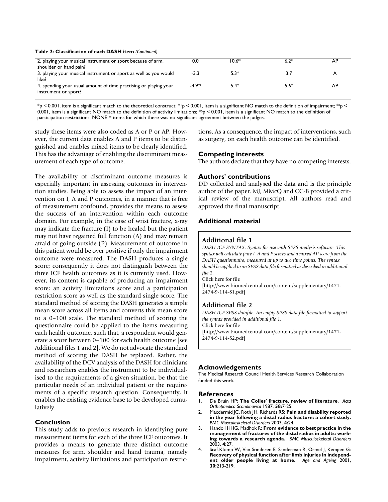**Table 2: Classification of each DASH item** *(Continued)*

| 2. playing your musical instrument or sport because of arm,                              | 0.0      | 10.6* | 6.2*   |  |
|------------------------------------------------------------------------------------------|----------|-------|--------|--|
| shoulder or hand pain?                                                                   |          |       |        |  |
| 3. playing your musical instrument or sport as well as you would                         | $-3.3$   | 5.3*  |        |  |
| like?                                                                                    |          |       |        |  |
| 4. spending your usual amount of time practising or playing your<br>instrument or sport? | $-4.9**$ | 54*   | $5.6*$ |  |

 $*_\text{D}$  < 0.001, item is a significant match to the theoretical construct;  $*_\text{D}$  < 0.001, item is a significant NO match to the definition of impairment;  $^{*_{\text{a}}_\text{D}}$  < 0.001, item is a significant NO match to the definition of activity limitations; \*pp < 0.001, item is a significant NO match to the definition of participation restrictions. NONE = items for which there was no significant agreement between the judges.

study these items were also coded as A or P or AP. However, the current data enables A and P items to be distinguished and enables mixed items to be clearly identified. This has the advantage of enabling the discriminant measurement of each type of outcome.

The availability of discriminant outcome measures is especially important in assessing outcomes in intervention studies. Being able to assess the impact of an intervention on I, A and P outcomes, in a manner that is free of measurement confound, provides the means to assess the success of an intervention within each outcome domain. For example, in the case of wrist fracture, x-ray may indicate the fracture (I) to be healed but the patient may not have regained full function (A) and may remain afraid of going outside (P). Measurement of outcome in this patient would be over positive if only the impairment outcome were measured. The DASH produces a single score; consequently it does not distinguish between the three ICF health outcomes as it is currently used. However, its content is capable of producing an impairment score; an activity limitations score and a participation restriction score as well as the standard single score. The standard method of scoring the DASH generates a simple mean score across all items and converts this mean score to a 0–100 scale. The standard method of scoring the questionnaire could be applied to the items measuring each health outcome, such that, a respondent would generate a score between 0–100 for each health outcome [see Additional files 1 and 2]. We do not advocate the standard method of scoring the DASH be replaced. Rather, the availability of the DCV analysis of the DASH for clinicians and researchers enables the instrument to be individualised to the requirements of a given situation, be that the particular needs of an individual patient or the requirements of a specific research question. Consequently, it enables the existing evidence base to be developed cumulatively.

# **Conclusion**

This study adds to previous research in identifying pure measurement items for each of the three ICF outcomes. It provides a means to generate three distinct outcome measures for arm, shoulder and hand trauma, namely impairment, activity limitations and participation restrictions. As a consequence, the impact of interventions, such as surgery, on each health outcome can be identified.

#### **Competing interests**

The authors declare that they have no competing interests.

# **Authors' contributions**

DD collected and analysed the data and is the principle author of the paper. MJ, MMcQ and CC-B provided a critical review of the manuscript. All authors read and approved the final manuscript.

# **Additional material**

#### **Additional file 1**

*DASH ICF SYNTAX. Syntax for use with SPSS analysis software. This syntax will calculate pure I, A and P scores and a mixed AP score from the DASH questionnaire, measured at up to two time points. The syntax should be applied to an SPSS data file formatted as described in additional file 2.*

Click here for file

[\[http://www.biomedcentral.com/content/supplementary/1471-](http://www.biomedcentral.com/content/supplementary/1471-2474-9-114-S1.pdf) 2474-9-114-S1.pdf]

#### **Additional file 2**

*DASH ICF SPSS datafile. An empty SPSS data file formatted to support the syntax provided in additional file 1.* Click here for file [\[http://www.biomedcentral.com/content/supplementary/1471-](http://www.biomedcentral.com/content/supplementary/1471-2474-9-114-S2.pdf) 2474-9-114-S2.pdf]

### **Acknowledgements**

The Medical Research Council Health Services Research Collaboration funded this work.

#### **References**

- 1. De Bruin HP: **The Colles' fracture, review of literature.** *Acta Orthopaedica Scandinavica* 1987, **58:**7-25.
- 2. Macdermid JC, Roth JH, Richards RS: **[Pain and disability reported](http://www.ncbi.nlm.nih.gov/entrez/query.fcgi?cmd=Retrieve&db=PubMed&dopt=Abstract&list_uids=14588078) [in the year following a distal radius fracture: a cohort study.](http://www.ncbi.nlm.nih.gov/entrez/query.fcgi?cmd=Retrieve&db=PubMed&dopt=Abstract&list_uids=14588078)** *BMC Musculoskeletal Disorders* 2003, **4:**24.
- 3. Handoll HHG, Madhok R: **[From evidence to best practice in the](http://www.ncbi.nlm.nih.gov/entrez/query.fcgi?cmd=Retrieve&db=PubMed&dopt=Abstract&list_uids=14641927) [management of fractures of the distal radius in adults: work](http://www.ncbi.nlm.nih.gov/entrez/query.fcgi?cmd=Retrieve&db=PubMed&dopt=Abstract&list_uids=14641927)[ing towards a research agenda.](http://www.ncbi.nlm.nih.gov/entrez/query.fcgi?cmd=Retrieve&db=PubMed&dopt=Abstract&list_uids=14641927)** *BMC Musculoskeletal Disorders* 2003, **4:**27.
- 4. Scaf-Klomp W, Van Sonderen E, Sanderman R, Ormel J, Kempen G: **Recovery of physical function after limb injuries in independent older people living at home.** *Age and Ageing* 2001, **30:**213-219.